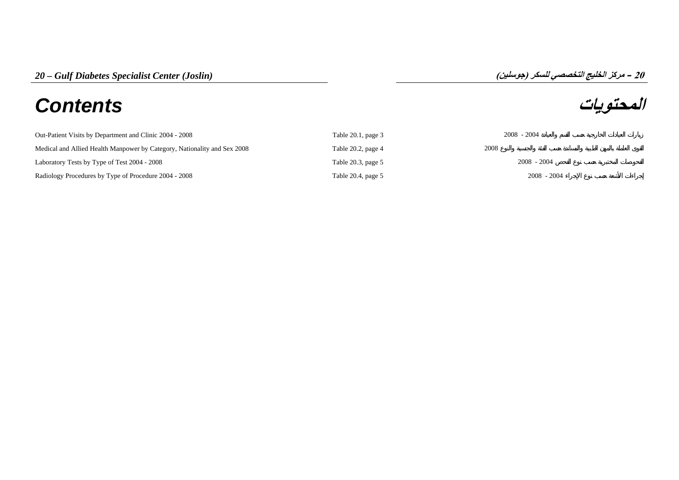# **المحتويات** *Contents*

## **مرآز الخليج التخصصي للسكر (جوسلين) – 20**

| Out-Patient Visits by Department and Clinic 2004 - 2008                  | Table $20.1$ , page $3$ | $2008 - 2004$ |
|--------------------------------------------------------------------------|-------------------------|---------------|
| Medical and Allied Health Manpower by Category, Nationality and Sex 2008 | Table 20.2, page 4      | 2008          |
| Laboratory Tests by Type of Test 2004 - 2008                             | Table 20.3, page 5      | $2008 - 2004$ |
| Radiology Procedures by Type of Procedure 2004 - 2008                    | Table 20.4, page 5      | $2008 - 2004$ |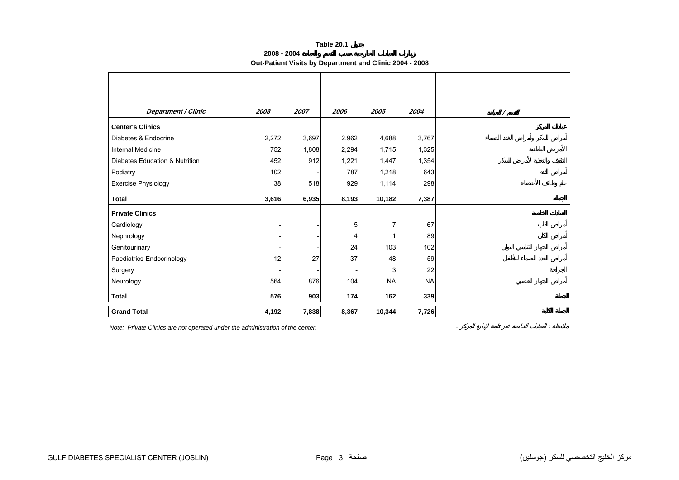#### **Table 20.1**

**2008 - 2004**

**Out-Patient Visits by Department and Clinic 2004 - 2008**

<span id="page-2-0"></span>

| <b>Department / Clinic</b>     | 2008  | 2007  | 2006  | 2005           | 2004      | $\prime$ |
|--------------------------------|-------|-------|-------|----------------|-----------|----------|
| <b>Center's Clinics</b>        |       |       |       |                |           |          |
| Diabetes & Endocrine           | 2,272 | 3,697 | 2,962 | 4,688          | 3,767     |          |
| Internal Medicine              | 752   | 1,808 | 2,294 | 1,715          | 1,325     |          |
| Diabetes Education & Nutrition | 452   | 912   | 1,221 | 1,447          | 1,354     |          |
| Podiatry                       | 102   |       | 787   | 1,218          | 643       |          |
| Exercise Physiology            | 38    | 518   | 929   | 1,114          | 298       |          |
| <b>Total</b>                   | 3,616 | 6,935 | 8,193 | 10,182         | 7,387     |          |
| <b>Private Clinics</b>         |       |       |       |                |           |          |
| Cardiology                     |       |       | 5     | $\overline{7}$ | 67        |          |
| Nephrology                     |       |       | 4     | 1              | 89        |          |
| Genitourinary                  |       |       | 24    | 103            | 102       |          |
| Paediatrics-Endocrinology      | 12    | 27    | 37    | 48             | 59        |          |
| Surgery                        |       |       |       | 3              | 22        |          |
| Neurology                      | 564   | 876   | 104   | <b>NA</b>      | <b>NA</b> |          |
| <b>Total</b>                   | 576   | 903   | 174   | 162            | 339       |          |
| <b>Grand Total</b>             | 4,192 | 7,838 | 8,367 | 10,344         | 7,726     |          |

*Note: Private Clinics are not operated under the administration of the center.* . :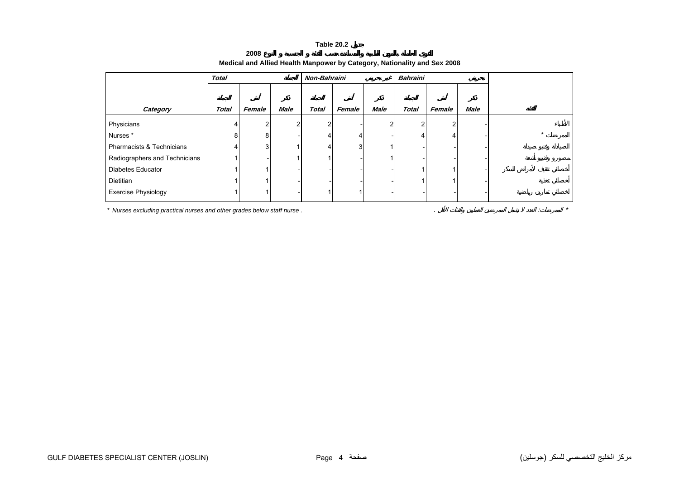#### **Table 20.2**

<span id="page-3-0"></span>

|                               | <b>Total</b> |        |                | Non-Bahraini |        |             | <b>Bahraini</b> |        |             |  |
|-------------------------------|--------------|--------|----------------|--------------|--------|-------------|-----------------|--------|-------------|--|
|                               |              |        |                |              |        |             |                 |        |             |  |
| Category                      | <b>Total</b> | Female | <b>Male</b>    | <b>Total</b> | Female | <b>Male</b> | <b>Total</b>    | Female | <b>Male</b> |  |
| Physicians                    | 4            |        | $\overline{2}$ | っ            |        |             | $\mathcal{P}$   | 2      |             |  |
| Nurses*                       | 8            | 8      |                | 4            | 4      |             | 4               | 4      |             |  |
| Pharmacists & Technicians     | 4            | 3      |                |              | 3      |             |                 |        |             |  |
| Radiographers and Technicians |              |        |                |              |        |             |                 |        |             |  |
| <b>Diabetes Educator</b>      |              |        |                |              |        |             |                 |        |             |  |
| Dietitian                     |              |        |                |              |        |             |                 |        |             |  |
| <b>Exercise Physiology</b>    |              |        |                |              |        |             |                 |        |             |  |

## **Medical and Allied Health Manpower by Category, Nationality and Sex 2008**

*\* Nurses excluding practical nurses and other grades below staff nurse .* . : *\**

**2008**